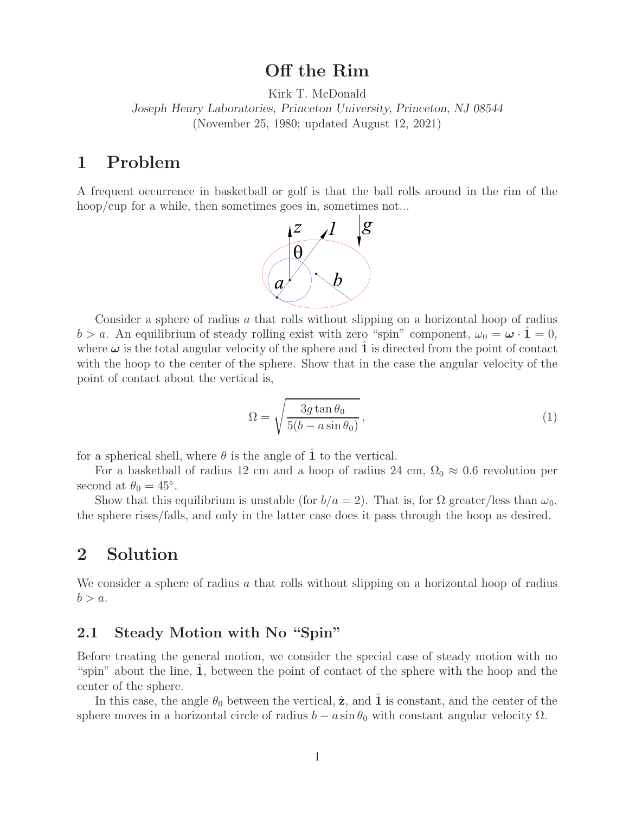# **Off the Rim**

Kirk T. McDonald

*Joseph Henry Laboratories, Princeton University, Princeton, NJ 08544* (November 25, 1980; updated August 12, 2021)

## **1 Problem**

A frequent occurrence in basketball or golf is that the ball rolls around in the rim of the hoop/cup for a while, then sometimes goes in, sometimes not...



Consider a sphere of radius a that rolls without slipping on a horizontal hoop of radius  $b > a$ . An equilibrium of steady rolling exist with zero "spin" component,  $\omega_0 = \boldsymbol{\omega} \cdot \hat{\mathbf{1}} = 0$ , where  $\omega$  is the total angular velocity of the sphere and **1** is directed from the point of contact with the hoop to the center of the sphere. Show that in the case the angular velocity of the point of contact about the vertical is,

$$
\Omega = \sqrt{\frac{3g \tan \theta_0}{5(b - a \sin \theta_0)}},\tag{1}
$$

for a spherical shell, where  $\theta$  is the angle of **1** to the vertical.

For a basketball of radius 12 cm and a hoop of radius 24 cm,  $\Omega_0 \approx 0.6$  revolution per second at  $\theta_0 = 45^\circ$ .

Show that this equilibrium is unstable (for  $b/a = 2$ ). That is, for  $\Omega$  greater/less than  $\omega_0$ , the sphere rises/falls, and only in the latter case does it pass through the hoop as desired.

# **2 Solution**

We consider a sphere of radius a that rolls without slipping on a horizontal hoop of radius  $b>a.$ 

### **2.1 Steady Motion with No "Spin"**

Before treating the general motion, we consider the special case of steady motion with no "spin" about the line, 1, between the point of contact of the sphere with the hoop and the center of the sphere.

In this case, the angle  $\theta_0$  between the vertical,  $\hat{z}$ , and  $\hat{1}$  is constant, and the center of the sphere moves in a horizontal circle of radius  $b - a \sin \theta_0$  with constant angular velocity  $\Omega$ .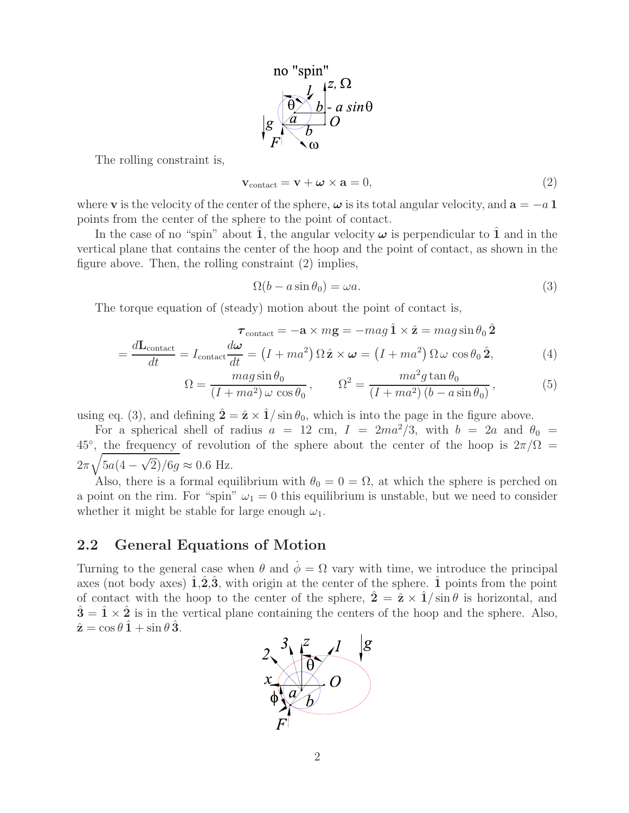

The rolling constraint is,

$$
\mathbf{v}_{\text{contact}} = \mathbf{v} + \boldsymbol{\omega} \times \mathbf{a} = 0,\tag{2}
$$

where **v** is the velocity of the center of the sphere,  $\omega$  is its total angular velocity, and  $\mathbf{a} = -a \mathbf{1}$ points from the center of the sphere to the point of contact.

In the case of no "spin" about **1**, the angular velocity  $\omega$  is perpendicular to **1** and in the vertical plane that contains the center of the hoop and the point of contact, as shown in the figure above. Then, the rolling constraint (2) implies,

$$
\Omega(b - a\sin\theta_0) = \omega a. \tag{3}
$$

The torque equation of (steady) motion about the point of contact is,

$$
\tau_{\text{contact}} = -\mathbf{a} \times m\mathbf{g} = -mag \hat{\mathbf{1}} \times \hat{\mathbf{z}} = magsin \theta_0 \hat{\mathbf{2}}
$$

$$
= \frac{d\mathbf{L}_{\text{contact}}}{dt} = I_{\text{contact}} \frac{d\boldsymbol{\omega}}{dt} = (I + ma^2) \Omega \hat{\mathbf{z}} \times \boldsymbol{\omega} = (I + ma^2) \Omega \omega \cos \theta_0 \hat{\mathbf{2}}, \tag{4}
$$

$$
\Omega = \frac{mag \sin \theta_0}{(I + ma^2) \omega \cos \theta_0}, \qquad \Omega^2 = \frac{ma^2 g \tan \theta_0}{(I + ma^2) (b - a \sin \theta_0)},
$$
(5)

using eq. (3), and defining  $\hat{\mathbf{2}} = \hat{\mathbf{z}} \times \hat{\mathbf{1}} / \sin \theta_0$ , which is into the page in the figure above.

For a spherical shell of radius  $a = 12$  cm,  $I = 2ma^2/3$ , with  $b = 2a$  and  $\theta_0 =$ 45<sup>°</sup>, the frequency of revolution of the sphere about the center of the hoop is  $2\pi/\Omega$  =  $2\pi\sqrt{5a(4-\sqrt{2})/6g} \approx 0.6$  Hz.

Also, there is a formal equilibrium with  $\theta_0 = 0 = \Omega$ , at which the sphere is perched on a point on the rim. For "spin"  $\omega_1 = 0$  this equilibrium is unstable, but we need to consider whether it might be stable for large enough  $\omega_1$ .

#### **2.2 General Equations of Motion**

Turning to the general case when  $\theta$  and  $\dot{\phi} = \Omega$  vary with time, we introduce the principal axes (not body axes)  $\hat{\mathbf{1}}, \hat{\mathbf{2}}, \hat{\mathbf{3}},$  with origin at the center of the sphere.  $\hat{\mathbf{1}}$  points from the point of contact with the hoop to the center of the sphere,  $\hat{\mathbf{2}} = \hat{\mathbf{z}} \times \hat{\mathbf{1}} / \sin \theta$  is horizontal, and  $3\bar{1}\times\bar{2}$  is in the vertical plane containing the centers of the hoop and the sphere. Also,  $\hat{\mathbf{z}} = \cos \theta \, \hat{\mathbf{1}} + \sin \theta \, \hat{\mathbf{3}}.$ 

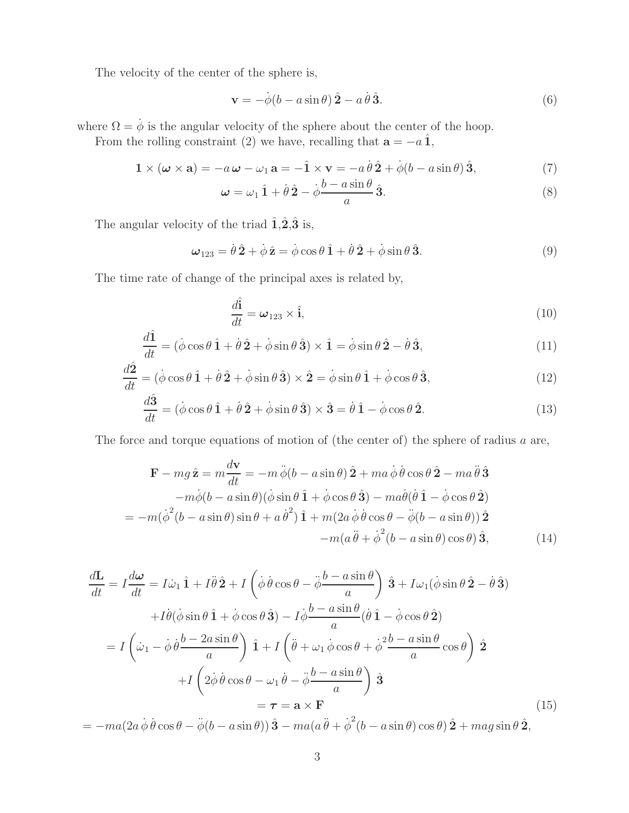The velocity of the center of the sphere is,

$$
\mathbf{v} = -\dot{\phi}(b - a\sin\theta)\,\hat{\mathbf{2}} - a\,\dot{\theta}\,\hat{\mathbf{3}}.\tag{6}
$$

where  $\Omega = \dot{\phi}$  is the angular velocity of the sphere about the center of the hoop.

From the rolling constraint (2) we have, recalling that  $\mathbf{a} = -a \hat{\mathbf{1}}$ ,

$$
\mathbf{1} \times (\boldsymbol{\omega} \times \mathbf{a}) = -a\,\boldsymbol{\omega} - \omega_1\,\mathbf{a} = -\hat{\mathbf{1}} \times \mathbf{v} = -a\,\dot{\theta}\,\hat{\mathbf{2}} + \dot{\phi}(b - a\sin\theta)\,\hat{\mathbf{3}},\tag{7}
$$

$$
\omega = \omega_1 \hat{1} + \dot{\theta} \hat{2} - \dot{\phi} \frac{b - a \sin \theta}{a} \hat{3}.
$$
 (8)

The angular velocity of the triad  $\hat{\mathbf{1}}, \hat{\mathbf{2}}, \hat{\mathbf{3}}$  is,

$$
\omega_{123} = \dot{\theta}\,\hat{\mathbf{2}} + \dot{\phi}\,\hat{\mathbf{z}} = \dot{\phi}\cos\theta\,\hat{\mathbf{1}} + \dot{\theta}\,\hat{\mathbf{2}} + \dot{\phi}\sin\theta\,\hat{\mathbf{3}}.\tag{9}
$$

The time rate of change of the principal axes is related by,

$$
\frac{d\hat{\mathbf{i}}}{dt} = \boldsymbol{\omega}_{123} \times \hat{\mathbf{i}},\tag{10}
$$

$$
\frac{d\hat{\mathbf{1}}}{dt} = (\dot{\phi}\cos\theta\,\hat{\mathbf{1}} + \dot{\theta}\,\hat{\mathbf{2}} + \dot{\phi}\sin\theta\,\hat{\mathbf{3}}) \times \hat{\mathbf{1}} = \dot{\phi}\sin\theta\,\hat{\mathbf{2}} - \dot{\theta}\,\hat{\mathbf{3}},\tag{11}
$$

$$
\frac{d\hat{\mathbf{2}}}{dt} = (\dot{\phi}\cos\theta\,\hat{\mathbf{1}} + \dot{\theta}\,\hat{\mathbf{2}} + \dot{\phi}\sin\theta\,\hat{\mathbf{3}}) \times \hat{\mathbf{2}} = \dot{\phi}\sin\theta\,\hat{\mathbf{1}} + \dot{\phi}\cos\theta\,\hat{\mathbf{3}},\tag{12}
$$

$$
\frac{d\hat{\mathbf{3}}}{dt} = (\dot{\phi}\cos\theta\,\hat{\mathbf{1}} + \dot{\theta}\,\hat{\mathbf{2}} + \dot{\phi}\sin\theta\,\hat{\mathbf{3}}) \times \hat{\mathbf{3}} = \dot{\theta}\,\hat{\mathbf{1}} - \dot{\phi}\cos\theta\,\hat{\mathbf{2}}.\tag{13}
$$

The force and torque equations of motion of (the center of) the sphere of radius a are,

$$
\mathbf{F} - mg\hat{\mathbf{z}} = m\frac{d\mathbf{v}}{dt} = -m\ddot{\phi}(b - a\sin\theta)\hat{\mathbf{2}} + ma\dot{\phi}\dot{\theta}\cos\theta\hat{\mathbf{2}} - ma\ddot{\theta}\hat{\mathbf{3}}-m\dot{\phi}(b - a\sin\theta)(\dot{\phi}\sin\theta\hat{\mathbf{1}} + \dot{\phi}\cos\theta\hat{\mathbf{3}}) - ma\dot{\theta}(\dot{\theta}\hat{\mathbf{1}} - \dot{\phi}\cos\theta\hat{\mathbf{2}})= -m(\dot{\phi}^2(b - a\sin\theta)\sin\theta + a\dot{\theta}^2)\hat{\mathbf{1}} + m(2a\dot{\phi}\dot{\theta}\cos\theta - \ddot{\phi}(b - a\sin\theta))\hat{\mathbf{2}}-m(a\ddot{\theta} + \dot{\phi}^2(b - a\sin\theta)\cos\theta)\hat{\mathbf{3}},
$$
(14)

$$
\frac{d\mathbf{L}}{dt} = I \frac{d\boldsymbol{\omega}}{dt} = I \dot{\omega}_1 \hat{\mathbf{1}} + I \ddot{\theta} \hat{\mathbf{2}} + I \left( \dot{\phi} \dot{\theta} \cos \theta - \ddot{\phi} \frac{b - a \sin \theta}{a} \right) \hat{\mathbf{3}} + I \omega_1 (\dot{\phi} \sin \theta \hat{\mathbf{2}} - \dot{\theta} \hat{\mathbf{3}})
$$
  
+  $I \dot{\theta} (\dot{\phi} \sin \theta \hat{\mathbf{1}} + \dot{\phi} \cos \theta \hat{\mathbf{3}}) - I \dot{\phi} \frac{b - a \sin \theta}{a} (\dot{\theta} \hat{\mathbf{1}} - \dot{\phi} \cos \theta \hat{\mathbf{2}})$   
=  $I \left( \dot{\omega}_1 - \dot{\phi} \dot{\theta} \frac{b - 2a \sin \theta}{a} \right) \hat{\mathbf{1}} + I \left( \ddot{\theta} + \omega_1 \dot{\phi} \cos \theta + \dot{\phi}^2 \frac{b - a \sin \theta}{a} \cos \theta \right) \hat{\mathbf{2}}$   
+  $I \left( 2 \dot{\phi} \dot{\theta} \cos \theta - \omega_1 \dot{\theta} - \ddot{\phi} \frac{b - a \sin \theta}{a} \right) \hat{\mathbf{3}}$   
=  $\boldsymbol{\tau} = \mathbf{a} \times \mathbf{F}$  (15)

 $= -ma(2a\dot{\phi}\dot{\theta}\cos\theta - \ddot{\phi}(b - a\sin\theta))\hat{\mathbf{3}} - ma(a\ddot{\theta} + \dot{\phi}^2(b - a\sin\theta)\cos\theta)\hat{\mathbf{2}} + mag\sin\theta\hat{\mathbf{2}},$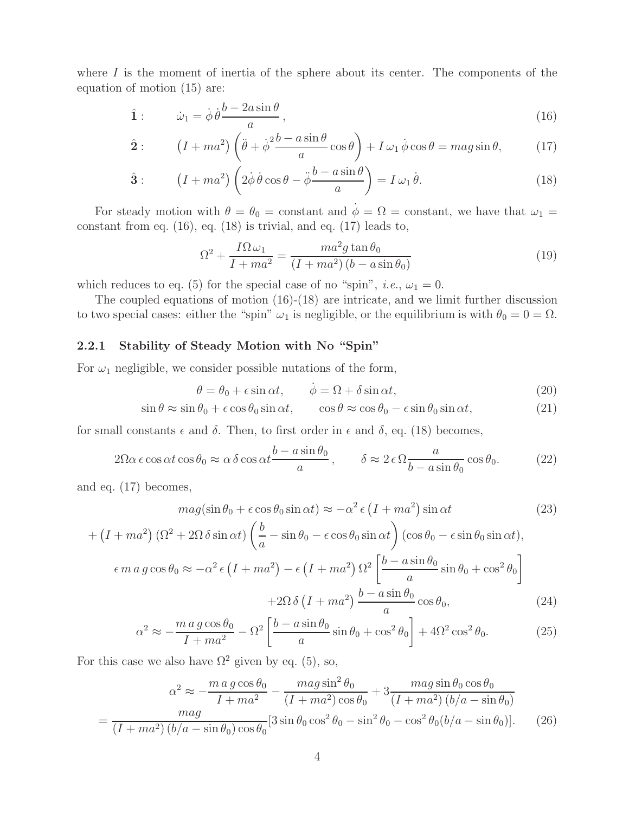where  $I$  is the moment of inertia of the sphere about its center. The components of the equation of motion (15) are:

$$
\hat{\mathbf{1}}: \qquad \dot{\omega}_1 = \dot{\phi}\,\dot{\theta}\frac{b - 2a\sin\theta}{a},\tag{16}
$$

$$
\hat{\mathbf{2}}: \qquad (I + ma^2) \left( \ddot{\theta} + \dot{\phi}^2 \frac{b - a \sin \theta}{a} \cos \theta \right) + I \,\omega_1 \,\dot{\phi} \cos \theta = mag \sin \theta,\tag{17}
$$

$$
\hat{\mathbf{3}}: \qquad \left(I + ma^2\right) \left(2\dot{\phi}\,\dot{\theta}\cos\theta - \ddot{\phi}\frac{b - a\sin\theta}{a}\right) = I\,\omega_1\,\dot{\theta}.\tag{18}
$$

For steady motion with  $\theta = \theta_0 = \text{constant}$  and  $\phi = \Omega = \text{constant}$ , we have that  $\omega_1 =$ constant from eq. (16), eq. (18) is trivial, and eq. (17) leads to,

$$
\Omega^2 + \frac{I\Omega\omega_1}{I + ma^2} = \frac{ma^2g\tan\theta_0}{(I + ma^2)(b - a\sin\theta_0)}
$$
(19)

which reduces to eq. (5) for the special case of no "spin", *i.e.*,  $\omega_1 = 0$ .

The coupled equations of motion (16)-(18) are intricate, and we limit further discussion to two special cases: either the "spin"  $\omega_1$  is negligible, or the equilibrium is with  $\theta_0 = 0 = \Omega$ .

### **2.2.1 Stability of Steady Motion with No "Spin"**

For  $\omega_1$  negligible, we consider possible nutations of the form,

$$
\theta = \theta_0 + \epsilon \sin \alpha t, \qquad \dot{\phi} = \Omega + \delta \sin \alpha t, \tag{20}
$$

$$
\sin \theta \approx \sin \theta_0 + \epsilon \cos \theta_0 \sin \alpha t, \qquad \cos \theta \approx \cos \theta_0 - \epsilon \sin \theta_0 \sin \alpha t,\tag{21}
$$

for small constants  $\epsilon$  and  $\delta$ . Then, to first order in  $\epsilon$  and  $\delta$ , eq. (18) becomes,

$$
2\Omega\alpha \epsilon \cos \alpha t \cos \theta_0 \approx \alpha \delta \cos \alpha t \frac{b - a \sin \theta_0}{a}, \qquad \delta \approx 2 \epsilon \Omega \frac{a}{b - a \sin \theta_0} \cos \theta_0. \tag{22}
$$

and eq. (17) becomes,

$$
mag(\sin \theta_0 + \epsilon \cos \theta_0 \sin \alpha t) \approx -\alpha^2 \epsilon (I + ma^2) \sin \alpha t \tag{23}
$$

$$
+\left(I + ma^2\right)\left(\Omega^2 + 2\Omega\,\delta\sin\alpha t\right)\left(\frac{b}{a} - \sin\theta_0 - \epsilon\cos\theta_0\sin\alpha t\right)\left(\cos\theta_0 - \epsilon\sin\theta_0\sin\alpha t\right),
$$

$$
\epsilon\,m\,a\,g\cos\theta_0 \approx -\alpha^2\,\epsilon\left(I + ma^2\right) - \epsilon\left(I + ma^2\right)\Omega^2\left[\frac{b - a\sin\theta_0}{a}\sin\theta_0 + \cos^2\theta_0\right]
$$

$$
+2\Omega\,\delta\left(I + ma^2\right)\frac{b - a\sin\theta_0}{a}\cos\theta_0,\tag{24}
$$

$$
\alpha^2 \approx -\frac{m \, a \, g \cos \theta_0}{I + m a^2} - \Omega^2 \left[ \frac{b - a \sin \theta_0}{a} \sin \theta_0 + \cos^2 \theta_0 \right] + 4\Omega^2 \cos^2 \theta_0. \tag{25}
$$

For this case we also have  $\Omega^2$  given by eq. (5), so,

$$
\alpha^2 \approx -\frac{m \, a \, g \cos \theta_0}{I + m a^2} - \frac{m \, a \, g \sin^2 \theta_0}{(I + m a^2) \cos \theta_0} + 3 \frac{m \, a \, g \sin \theta_0 \cos \theta_0}{(I + m a^2) \left(b/a - \sin \theta_0\right)}
$$

$$
= \frac{m \, a \, g \cos \theta_0}{(I + m a^2) \left(b/a - \sin \theta_0\right) \cos \theta_0} [3 \sin \theta_0 \cos^2 \theta_0 - \sin^2 \theta_0 - \cos^2 \theta_0 (b/a - \sin \theta_0)]. \tag{26}
$$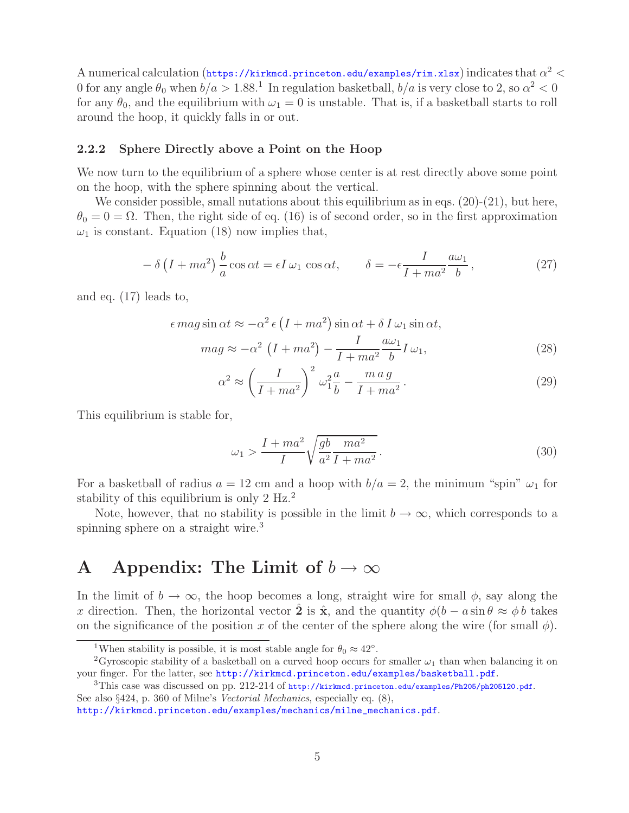A numerical calculation (https://kirkmcd.princeton.edu/examples/rim.xlsx) indicates that  $\alpha^2$  < 0 for any angle  $\theta_0$  when  $b/a > 1.88$ <sup>1</sup>. In regulation basketball,  $b/a$  is very close to 2, so  $\alpha^2 < 0$ for any  $\theta_0$ , and the equilibrium with  $\omega_1 = 0$  is unstable. That is, if a basketball starts to roll around the hoop, it quickly falls in or out.

#### **2.2.2 Sphere Directly above a Point on the Hoop**

We now turn to the equilibrium of a sphere whose center is at rest directly above some point on the hoop, with the sphere spinning about the vertical.

We consider possible, small nutations about this equilibrium as in eqs.  $(20)-(21)$ , but here,  $\theta_0 = 0 = \Omega$ . Then, the right side of eq. (16) is of second order, so in the first approximation  $\omega_1$  is constant. Equation (18) now implies that,

$$
-\delta\left(I + ma^2\right)\frac{b}{a}\cos\alpha t = \epsilon I\,\omega_1\,\cos\alpha t, \qquad \delta = -\epsilon \frac{I}{I + ma^2}\frac{a\omega_1}{b},\tag{27}
$$

and eq. (17) leads to,

$$
\epsilon \, mag \sin \alpha t \approx -\alpha^2 \, \epsilon \left( I + m a^2 \right) \sin \alpha t + \delta \, I \, \omega_1 \sin \alpha t,
$$
\n
$$
mag \approx -\alpha^2 \, \left( I + m a^2 \right) - \frac{I}{I + m a^2} \frac{a \omega_1}{b} I \, \omega_1,\tag{28}
$$

$$
\alpha^2 \approx \left(\frac{I}{I + ma^2}\right)^2 \omega_1^2 \frac{a}{b} - \frac{ma g}{I + ma^2} \,. \tag{29}
$$

This equilibrium is stable for,

$$
\omega_1 > \frac{I + ma^2}{I} \sqrt{\frac{gb - ma^2}{a^2 I + ma^2}}.
$$
\n
$$
(30)
$$

For a basketball of radius  $a = 12$  cm and a hoop with  $b/a = 2$ , the minimum "spin"  $\omega_1$  for stability of this equilibrium is only 2 Hz.<sup>2</sup>

Note, however, that no stability is possible in the limit  $b \to \infty$ , which corresponds to a spinning sphere on a straight wire.<sup>3</sup>

## **A** Appendix: The Limit of  $b \to \infty$

In the limit of  $b \to \infty$ , the hoop becomes a long, straight wire for small  $\phi$ , say along the x direction. Then, the horizontal vector  $\hat{\mathbf{2}}$  is  $\hat{\mathbf{x}}$ , and the quantity  $\phi(b - a \sin \theta \approx \phi b)$  takes on the significance of the position x of the center of the sphere along the wire (for small  $\phi$ ).

<sup>&</sup>lt;sup>1</sup>When stability is possible, it is most stable angle for  $\theta_0 \approx 42^\circ$ .<br><sup>2</sup>Gyroscopic stability of a basketball on a curved hoop occurs for smaller  $\omega_1$  than when balancing it on your finger. For the latter, see http://kirkmcd.princeton.edu/examples/basketball.pdf.

<sup>&</sup>lt;sup>3</sup>This case was discussed on pp. 212-214 of http://kirkmcd.princeton.edu/examples/Ph205/ph205120.pdf. See also §424, p. 360 of Milne's *Vectorial Mechanics*, especially eq. (8),

http://kirkmcd.princeton.edu/examples/mechanics/milne\_mechanics.pdf.